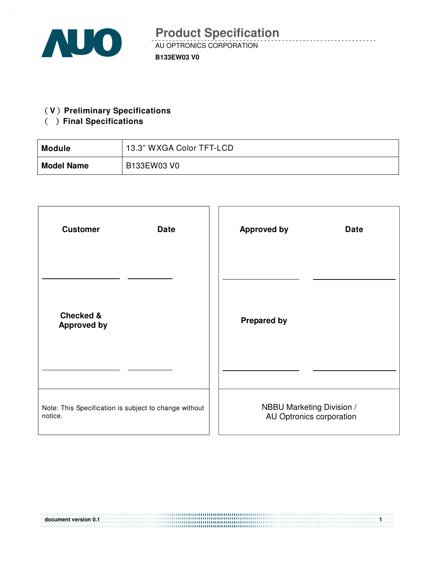

### **(V)** Preliminary Specifications

## ( ) Final Specifications

| Module            | 13.3" WXGA Color TFT-LCD |
|-------------------|--------------------------|
| <b>Model Name</b> | B133EW03 V0              |

| <b>Customer</b>                                       | <b>Approved by</b>        |
|-------------------------------------------------------|---------------------------|
| <b>Date</b>                                           | <b>Date</b>               |
| <b>Checked &amp;</b><br><b>Approved by</b>            | <b>Prepared by</b>        |
|                                                       |                           |
| Note: This Specification is subject to change without | NBBU Marketing Division / |
| notice.                                               | AU Optronics corporation  |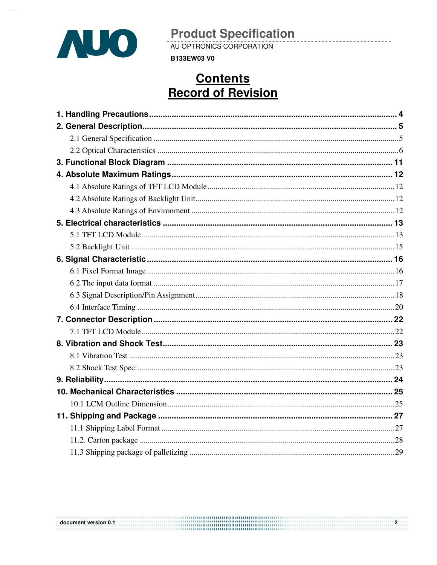

AU OPTRONICS CORPORATION

**B133EW03 V0** 

# **Contents Record of Revision**

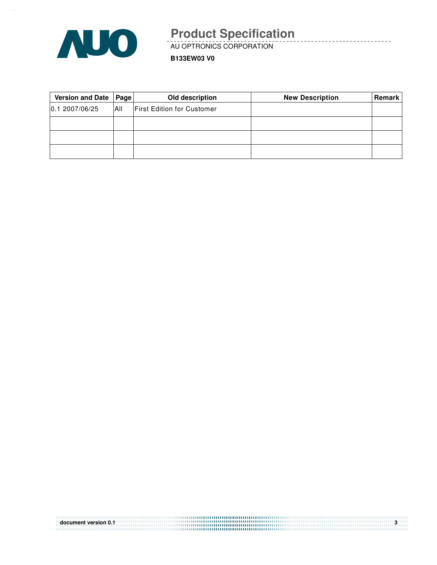

AU OPTRONICS CORPORATION

**B133EW03 V0**

| Version and Date   Page |      | Old description                   | <b>New Description</b> | <b>Remark</b> |
|-------------------------|------|-----------------------------------|------------------------|---------------|
| 0.12007/06/25           | IAII | <b>First Edition for Customer</b> |                        |               |
|                         |      |                                   |                        |               |
|                         |      |                                   |                        |               |
|                         |      |                                   |                        |               |

| document version 0.1 |  |
|----------------------|--|
|                      |  |
|                      |  |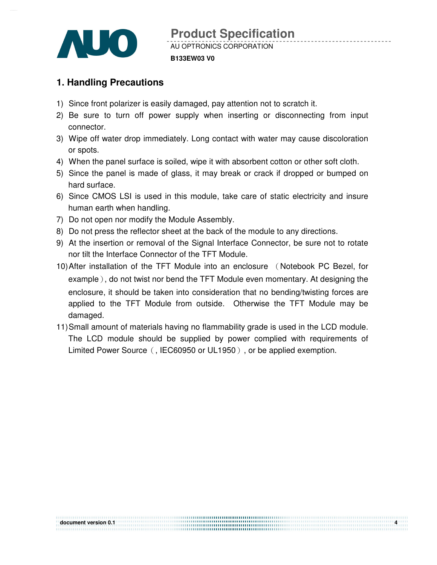

# **1. Handling Precautions**

- 1) Since front polarizer is easily damaged, pay attention not to scratch it.
- 2) Be sure to turn off power supply when inserting or disconnecting from input connector.
- 3) Wipe off water drop immediately. Long contact with water may cause discoloration or spots.
- 4) When the panel surface is soiled, wipe it with absorbent cotton or other soft cloth.
- 5) Since the panel is made of glass, it may break or crack if dropped or bumped on hard surface.
- 6) Since CMOS LSI is used in this module, take care of static electricity and insure human earth when handling.
- 7) Do not open nor modify the Module Assembly.
- 8) Do not press the reflector sheet at the back of the module to any directions.
- 9) At the insertion or removal of the Signal Interface Connector, be sure not to rotate nor tilt the Interface Connector of the TFT Module.
- 10) After installation of the TFT Module into an enclosure (Notebook PC Bezel, for example), do not twist nor bend the TFT Module even momentary. At designing the enclosure, it should be taken into consideration that no bending/twisting forces are applied to the TFT Module from outside. Otherwise the TFT Module may be damaged.
- 11) Small amount of materials having no flammability grade is used in the LCD module. The LCD module should be supplied by power complied with requirements of Limited Power Source (, IEC60950 or UL1950), or be applied exemption.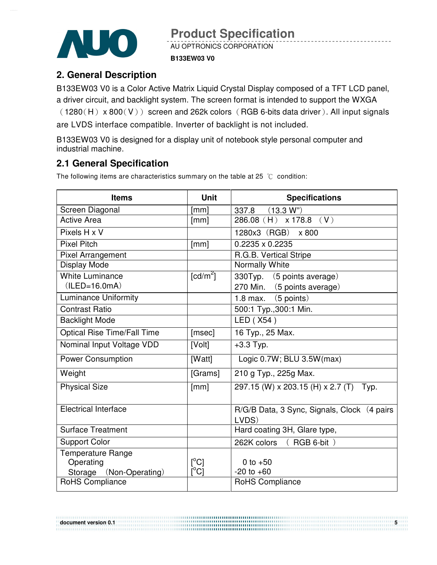

AU OPTRONICS CORPORATION

### **B133EW03 V0**

## **2. General Description**

B133EW03 V0 is a Color Active Matrix Liquid Crystal Display composed of a TFT LCD panel, a driver circuit, and backlight system. The screen format is intended to support the WXGA  $(1280(H) \times 800(V))$  screen and 262k colors (RGB 6-bits data driver). All input signals are LVDS interface compatible. Inverter of backlight is not included.

B133EW03 V0 is designed for a display unit of notebook style personal computer and industrial machine.

## **2.1 General Specification**

The following items are characteristics summary on the table at 25  $°C$  condition:

| <b>Items</b>                | <b>Unit</b>             | <b>Specifications</b>                                 |
|-----------------------------|-------------------------|-------------------------------------------------------|
| Screen Diagonal             | [mm]                    | 337.8 (13.3 W")                                       |
| <b>Active Area</b>          | [mm]                    | $286.08$ (H) x 178.8 (V)                              |
| Pixels H x V                |                         | 1280x3 (RGB) x 800                                    |
| <b>Pixel Pitch</b>          | [mm]                    | 0.2235 x 0.2235                                       |
| <b>Pixel Arrangement</b>    |                         | R.G.B. Vertical Stripe                                |
| Display Mode                |                         | Normally White                                        |
| <b>White Luminance</b>      | [ $cd/m2$ ]             | 330Typ. (5 points average)                            |
| $(ILED=16.0mA)$             |                         | 270 Min. (5 points average)                           |
| <b>Luminance Uniformity</b> |                         | 1.8 max. $(5 \text{ points})$                         |
| <b>Contrast Ratio</b>       |                         | 500:1 Typ., 300:1 Min.                                |
| <b>Backlight Mode</b>       |                         | LED (X54)                                             |
| Optical Rise Time/Fall Time | [msec]                  | 16 Typ., 25 Max.                                      |
| Nominal Input Voltage VDD   | [Volt]                  | $+3.3$ Typ.                                           |
| <b>Power Consumption</b>    | [Watt]                  | Logic 0.7W; BLU 3.5W(max)                             |
| Weight                      | [Grams]                 | 210 g Typ., 225g Max.                                 |
| <b>Physical Size</b>        | [mm]                    | 297.15 (W) x 203.15 (H) x 2.7 (T) Typ.                |
| <b>Electrical Interface</b> |                         | R/G/B Data, 3 Sync, Signals, Clock (4 pairs)<br>LVDS) |
| <b>Surface Treatment</b>    |                         | Hard coating 3H, Glare type,                          |
| <b>Support Color</b>        |                         | 262K colors (RGB 6-bit)                               |
| Temperature Range           |                         |                                                       |
| Operating                   | $\mathsf{I}^{\circ}$ Cl | 0 to $+50$                                            |
| Storage (Non-Operating)     | $\overline{C}^{\circ}$  | $-20$ to $+60$                                        |
| <b>RoHS Compliance</b>      |                         | RoHS Compliance                                       |

**document version 0.1**  $\frac{5}{2}$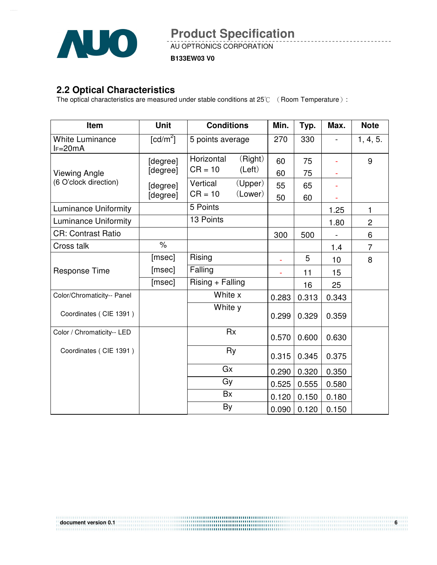

AU OPTRONICS CORPORATION

**B133EW03 V0**

### **2.2 Optical Characteristics**

The optical characteristics are measured under stable conditions at 25 $\degree$  ( Room Temperature ):

| Item                                | <b>Unit</b>  | <b>Conditions</b>  |           | Min.  | Typ.  | Max.  | <b>Note</b>    |
|-------------------------------------|--------------|--------------------|-----------|-------|-------|-------|----------------|
| <b>White Luminance</b><br>$IF=20mA$ | [ $cd/m^2$ ] | 5 points average   |           | 270   | 330   |       | 1, 4, 5.       |
|                                     | [degree]     | Horizontal         | (Right)   | 60    | 75    |       | 9              |
| <b>Viewing Angle</b>                | [degree]     | $CR = 10$          | (Left)    | 60    | 75    |       |                |
| (6 O'clock direction)               | [degree]     | Vertical           | (Upper)   | 55    | 65    |       |                |
|                                     | [degree]     | $CR = 10$          | (Lower)   | 50    | 60    |       |                |
| <b>Luminance Uniformity</b>         |              | 5 Points           |           |       |       | 1.25  | 1              |
| <b>Luminance Uniformity</b>         |              | 13 Points          |           |       |       | 1.80  | $\overline{c}$ |
| <b>CR: Contrast Ratio</b>           |              |                    |           | 300   | 500   |       | 6              |
| Cross talk                          | $\%$         |                    |           |       |       | 1.4   | $\overline{7}$ |
|                                     | [msec]       | Rising             |           | ä,    | 5     | 10    | 8              |
| <b>Response Time</b>                | [msec]       | Falling            |           |       | 11    | 15    |                |
|                                     | [msec]       | $Rising + Falling$ |           |       | 16    | 25    |                |
| Color/Chromaticity-- Panel          |              | White x            |           | 0.283 | 0.313 | 0.343 |                |
| Coordinates (CIE 1391)              |              | White y            |           | 0.299 | 0.329 | 0.359 |                |
| Color / Chromaticity-- LED          |              |                    | <b>Rx</b> | 0.570 | 0.600 | 0.630 |                |
| Coordinates (CIE 1391)              |              |                    | Ry        | 0.315 | 0.345 | 0.375 |                |
|                                     |              | Gx                 |           | 0.290 | 0.320 | 0.350 |                |
|                                     |              | Gy                 |           | 0.525 | 0.555 | 0.580 |                |
|                                     |              | <b>Bx</b>          |           | 0.120 | 0.150 | 0.180 |                |
|                                     |              | By                 |           | 0.090 | 0.120 | 0.150 |                |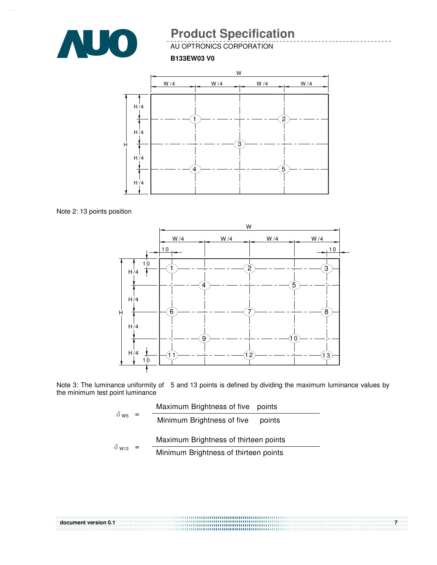

AU OPTRONICS CORPORATION

#### **B133EW03 V0**



Note 2: 13 points position



Note 3: The luminance uniformity of 5 and 13 points is defined by dividing the maximum luminance values by the minimum test point luminance

|                          | Maximum Brightness of five points     |
|--------------------------|---------------------------------------|
| $\delta$ w <sub>5</sub>  | Minimum Brightness of five<br>points  |
| $\delta$ W <sub>13</sub> | Maximum Brightness of thirteen points |
|                          | Minimum Brightness of thirteen points |

| document version 0.1 | $\mathbf{z}$ |
|----------------------|--------------|
|                      |              |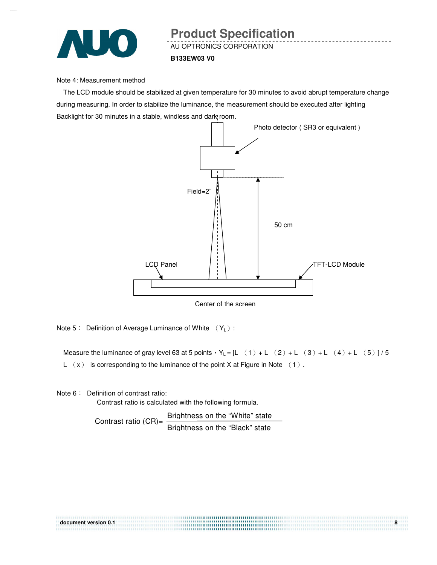

#### Note 4: Measurement method

The LCD module should be stabilized at given temperature for 30 minutes to avoid abrupt temperature change during measuring. In order to stabilize the luminance, the measurement should be executed after lighting Backlight for 30 minutes in a stable, windless and dark room.



Center of the screen

Note 5: Definition of Average Luminance of White  $(Y_L)$ :

Measure the luminance of gray level 63 at 5 points  $Y_L = [L (1) + L (2) + L (3) + L (4) + L (5)]/5$ L  $(x)$  is corresponding to the luminance of the point X at Figure in Note  $(1)$ .

Note  $6:$  Definition of contrast ratio:

Contrast ratio is calculated with the following formula.

Contrast ratio  $(CR)$ =  $\frac{Brightness on the "White" state}$ Brightness on the "Black" state

| document version 0.1 |  |
|----------------------|--|
|                      |  |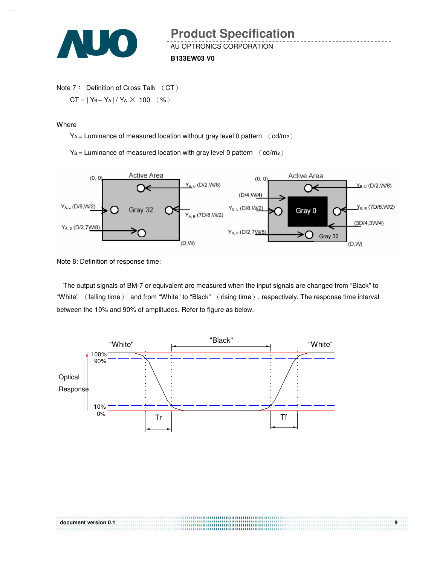

```
Note 7: Definition of Cross Talk (CT)
CT = |Y_B - Y_A| / Y_A \times 100 (%)
```
#### **Where**

 $Y_A$  = Luminance of measured location without gray level 0 pattern  $\left(\text{cd/m}_2\right)$ 

 $Y_B =$  Luminance of measured location with gray level 0 pattern  $(cd/m_2)$ 



Note 8: Definition of response time:

The output signals of BM-7 or equivalent are measured when the input signals are changed from "Black" to "White" (falling time) and from "White" to "Black" (rising time), respectively. The response time interval between the 10% and 90% of amplitudes. Refer to figure as below.

document version 0.1 **Billion 1.1 and 2.1 and 2.1 and 2.1 and 2.1 and 2.1 and 2.1 and 2.1 and 2.1 and 2.1 and 2.1 and 2.1 and 2.1 and 2.1 and 2.1 and 2.1 and 2.1 and 2.1 and 2.1 and 2.1 and 2.1 and 2.1 and 2.1 and 2.1 and** 

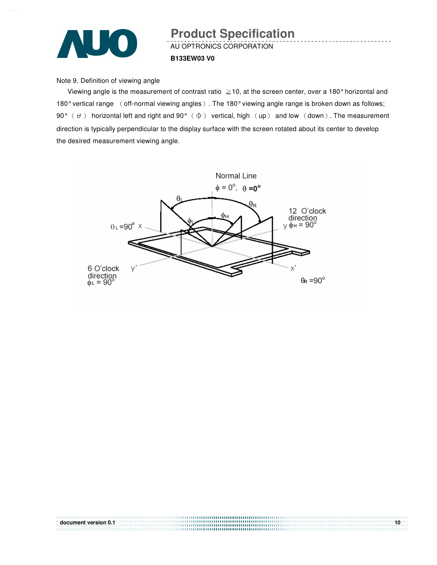

# AU OPTRONICS CORPORATION **B133EW03 V0 Product Specification**

Note 9. Definition of viewing angle

Viewing angle is the measurement of contrast ratio  $\geq$  10, at the screen center, over a 180° horizontal and 180° vertical range (off-normal viewing angles). The 180° viewing angle range is broken down as follows; 90°  $(\theta)$  horizontal left and right and 90°  $(\Phi)$  vertical, high  $(\text{up})$  and low  $(\text{down})$ . The measurement direction is typically perpendicular to the display surface with the screen rotated about its center to develop the desired measurement viewing angle.

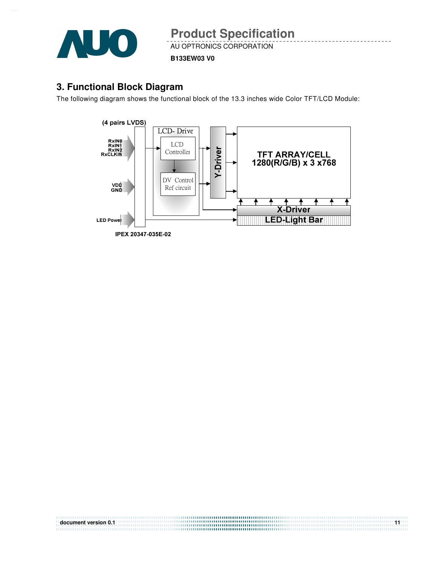

AU OPTRONICS CORPORATION

**B133EW03 V0**

## **3. Functional Block Diagram**

The following diagram shows the functional block of the 13.3 inches wide Color TFT/LCD Module:



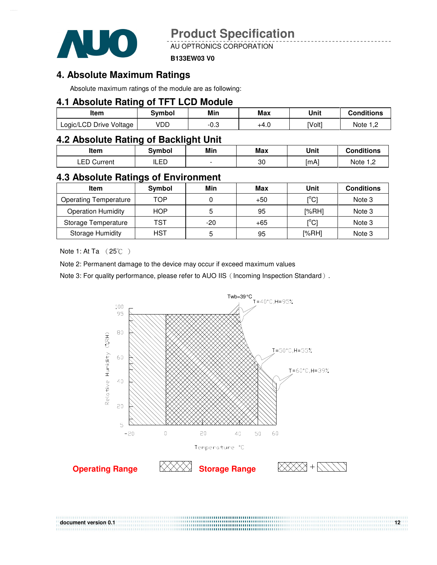

AU OPTRONICS CORPORATION

#### **B133EW03 V0**

### **4. Absolute Maximum Ratings**

Absolute maximum ratings of the module are as following:

### **4.1 Absolute Rating of TFT LCD Module**

| ltem                    | Svmbol | Min       | Max  | Unit   | Conditions |
|-------------------------|--------|-----------|------|--------|------------|
| Logic/LCD Drive Voltage | VDD    | ົ<br>⊸.∪- | +4.U | [Volt] | Note       |

## **4.2 Absolute Rating of Backlight Unit**

| ltem           | Svmbol | Min | Max | Unit | <b>Conditions</b> |
|----------------|--------|-----|-----|------|-------------------|
| ∟ED<br>Current | ILED   |     | 30  | [mA] | Note 1 C          |

### **4.3 Absolute Ratings of Environment**

| <b>Item</b>                  | Symbol     | Min | Max   | Unit                                    | <b>Conditions</b> |
|------------------------------|------------|-----|-------|-----------------------------------------|-------------------|
| <b>Operating Temperature</b> | TOP        |     | $+50$ | $\mathsf{I}^\circ\mathsf{C} \mathsf{I}$ | Note 3            |
| <b>Operation Humidity</b>    | <b>HOP</b> | 5   | 95    | [%RH]                                   | Note 3            |
| Storage Temperature          | TST        | -20 | $+65$ | $\mathsf{I}^\circ\mathsf{C} \mathsf{I}$ | Note 3            |
| <b>Storage Humidity</b>      | HST        | 5   | 95    | [%RH]                                   | Note 3            |

Note 1: At Ta  $(25^{\circ}\text{C})$ 

Note 2: Permanent damage to the device may occur if exceed maximum values

Note 3: For quality performance, please refer to AUO IIS (Incoming Inspection Standard).

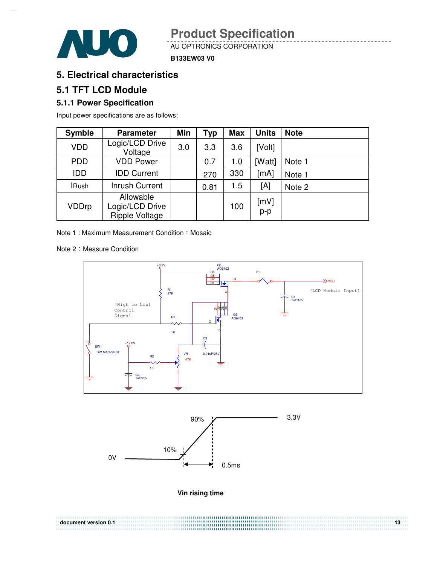

AU OPTRONICS CORPORATION

**B133EW03 V0**

## **5. Electrical characteristics**

### **5.1 TFT LCD Module**

### **5.1.1 Power Specification**

Input power specifications are as follows;

| <b>Symble</b> | <b>Parameter</b>                                      | Min | Typ  | <b>Max</b> | <b>Units</b> | <b>Note</b> |
|---------------|-------------------------------------------------------|-----|------|------------|--------------|-------------|
| <b>VDD</b>    | Logic/LCD Drive<br>Voltage                            | 3.0 | 3.3  | 3.6        | [Volt]       |             |
| <b>PDD</b>    | <b>VDD Power</b>                                      |     | 0.7  | 1.0        | [Watt]       | Note 1      |
| <b>IDD</b>    | <b>IDD Current</b>                                    |     | 270  | 330        | [mA]         | Note 1      |
| <b>IRush</b>  | <b>Inrush Current</b>                                 |     | 0.81 | 1.5        | [A]          | Note 2      |
| VDDrp         | Allowable<br>Logic/LCD Drive<br><b>Ripple Voltage</b> |     |      | 100        | [mV]<br>p-p  |             |

Note 1 : Maximum Measurement Condition : Mosaic

Note 2: Measure Condition





**Vin rising time** 

**document version 0.1** 13<sup>3</sup>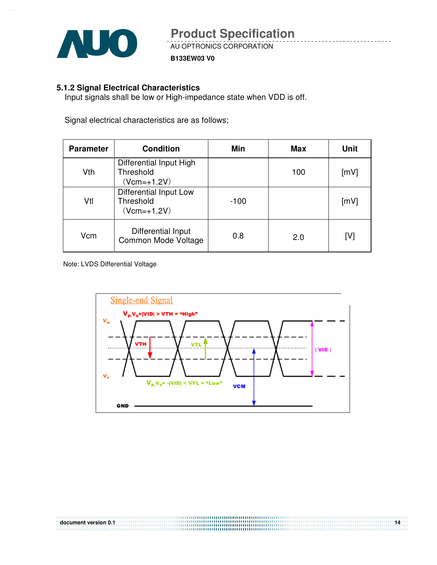

### **5.1.2 Signal Electrical Characteristics**

Input signals shall be low or High-impedance state when VDD is off.

Signal electrical characteristics are as follows;

| <b>Parameter</b> | <b>Condition</b>                                       | Min    | Max | Unit |
|------------------|--------------------------------------------------------|--------|-----|------|
| Vth              | Differential Input High<br>Threshold<br>$(Vcm=+1.2V)$  |        | 100 | [mV] |
| Vtl              | Differential Input Low<br>Threshold<br>$(Vcm = +1.2V)$ | $-100$ |     | [mV] |
| Vcm              | Differential Input<br>Common Mode Voltage              | 0.8    | 2.0 | [V]  |

Note: LVDS Differential Voltage

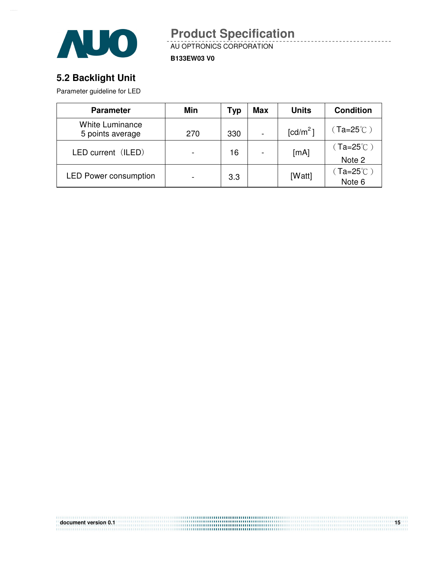

AU OPTRONICS CORPORATION **Product Specification** 

**B133EW03 V0**

# **5.2 Backlight Unit**

Parameter guideline for LED

| <b>Parameter</b>                           | Min | Typ | <b>Max</b> | <b>Units</b>           | <b>Condition</b>                    |
|--------------------------------------------|-----|-----|------------|------------------------|-------------------------------------|
| <b>White Luminance</b><br>5 points average | 270 | 330 |            | $\lceil cd/m^2 \rceil$ | $(Ta=25^{\circ}C)$                  |
| LED current (ILED)                         |     | 16  |            | [mA]                   | (Ta=25 $^\circ\mathrm{C}$ )         |
|                                            |     |     |            |                        | Note 2                              |
| <b>LED Power consumption</b>               |     | 3.3 |            | [Watt]                 | $(Ta=25^{\circ}\text{C})$<br>Note 6 |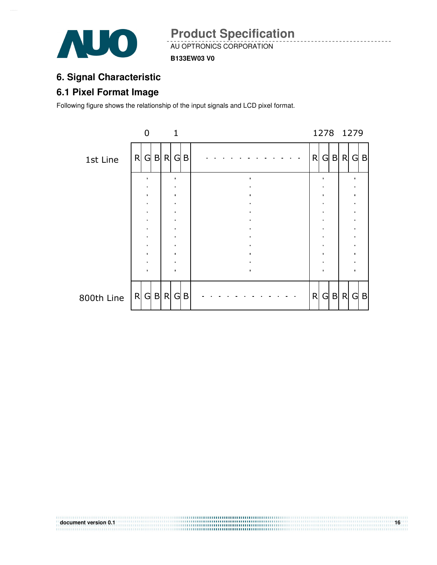

**B133EW03 V0**

# **6. Signal Characteristic**

# **6.1 Pixel Format Image**

Following figure shows the relationship of the input signals and LCD pixel format.



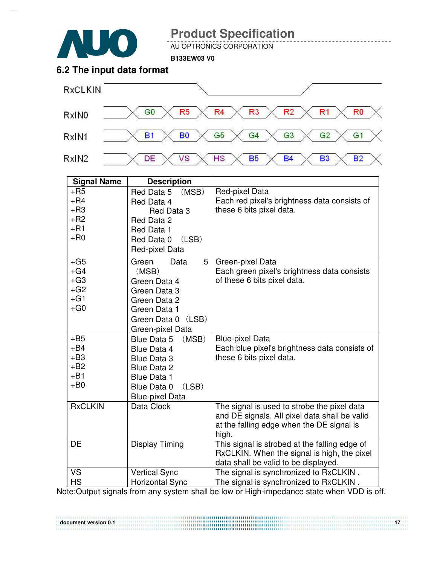

AU OPTRONICS CORPORATION

**B133EW03 V0**

## **6.2 The input data format**



| <b>Signal Name</b>                                 | <b>Description</b>                                                                                                                                      |                                                                                                                                                    |
|----------------------------------------------------|---------------------------------------------------------------------------------------------------------------------------------------------------------|----------------------------------------------------------------------------------------------------------------------------------------------------|
| $+$ R5<br>$+R4$                                    | Red Data 5<br>(MSB)<br>Red Data 4                                                                                                                       | Red-pixel Data<br>Each red pixel's brightness data consists of                                                                                     |
| $+R3$<br>$+R2$<br>$+R1$                            | Red Data 3<br>Red Data 2<br>Red Data 1                                                                                                                  | these 6 bits pixel data.                                                                                                                           |
| $+$ R <sub>0</sub>                                 | (LSB)<br>Red Data 0<br>Red-pixel Data                                                                                                                   |                                                                                                                                                    |
| $+G5$<br>$+G4$<br>$+G3$<br>$+G2$<br>$+G1$<br>$+G0$ | 5<br>Green<br>Data<br>(MSB)<br>Green Data 4<br>Green Data 3<br>Green Data 2<br>Green Data 1<br>(LSB)<br>Green Data 0<br>Green-pixel Data                | Green-pixel Data<br>Each green pixel's brightness data consists<br>of these 6 bits pixel data.                                                     |
| $+B5$<br>$+B4$<br>$+B3$<br>$+B2$<br>$+B1$<br>$+BO$ | (MSB)<br>Blue Data 5<br>Blue Data 4<br><b>Blue Data 3</b><br><b>Blue Data 2</b><br><b>Blue Data 1</b><br>(LSB)<br>Blue Data 0<br><b>Blue-pixel Data</b> | <b>Blue-pixel Data</b><br>Each blue pixel's brightness data consists of<br>these 6 bits pixel data.                                                |
| <b>RxCLKIN</b>                                     | Data Clock                                                                                                                                              | The signal is used to strobe the pixel data<br>and DE signals. All pixel data shall be valid<br>at the falling edge when the DE signal is<br>high. |
| <b>DE</b>                                          | <b>Display Timing</b>                                                                                                                                   | This signal is strobed at the falling edge of<br>RxCLKIN. When the signal is high, the pixel<br>data shall be valid to be displayed.               |
| VS                                                 | <b>Vertical Sync</b>                                                                                                                                    | The signal is synchronized to RxCLKIN.                                                                                                             |
| <b>HS</b>                                          | <b>Horizontal Sync</b>                                                                                                                                  | The signal is synchronized to RxCLKIN.                                                                                                             |

Note:Output signals from any system shall be low or High-impedance state when VDD is off.

**document version 0.1** 17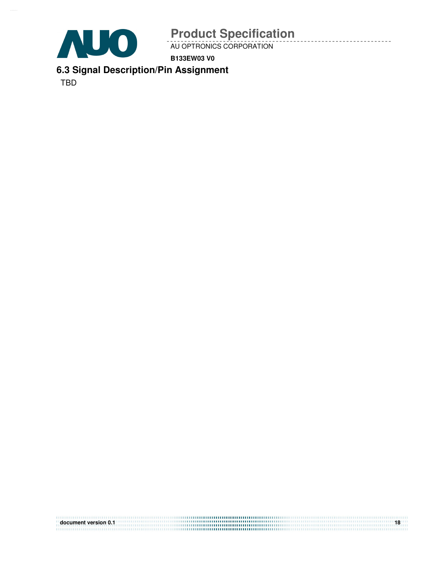

AU OPTRONICS CORPORATION

**B133EW03 V0**

**6.3 Signal Description/Pin Assignment** 

TBD

| document version 0.1 |  |
|----------------------|--|
|                      |  |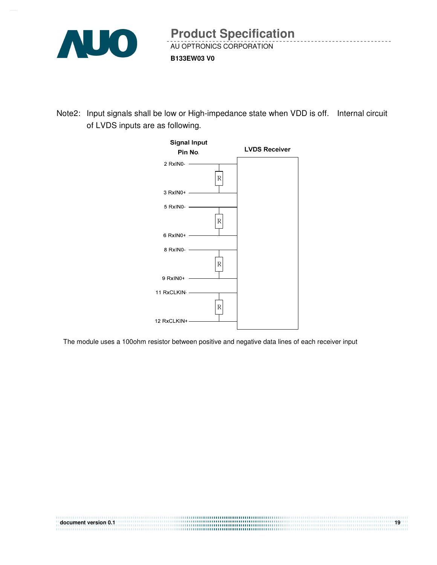

Note2: Input signals shall be low or High-impedance state when VDD is off. Internal circuit of LVDS inputs are as following.



The module uses a 100ohm resistor between positive and negative data lines of each receiver input

| document version 0.1 | 19 |
|----------------------|----|
|                      |    |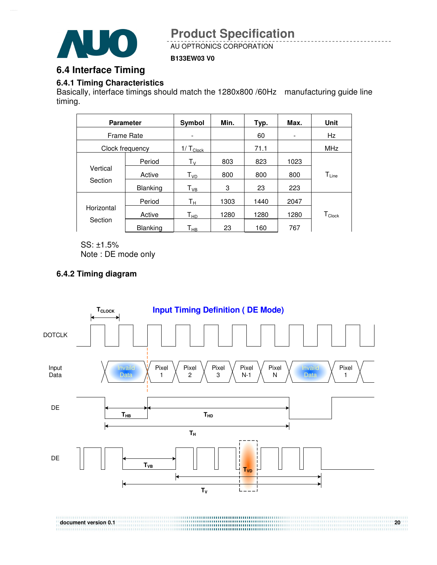

AU OPTRONICS CORPORATION

### **B133EW03 V0**

## **6.4 Interface Timing**

### **6.4.1 Timing Characteristics**

Basically, interface timings should match the 1280x800 /60Hz manufacturing guide line timing.

|                     | <b>Parameter</b> | Symbol                        | Min. | Typ. | Max.                     | <b>Unit</b>      |
|---------------------|------------------|-------------------------------|------|------|--------------------------|------------------|
| Frame Rate          |                  |                               |      | 60   | $\overline{\phantom{a}}$ | Hz               |
|                     | Clock frequency  | $1/\mathsf{T}_{\text{Clock}}$ |      | 71.1 |                          | <b>MHz</b>       |
|                     | Period           | $\mathsf{T}_\mathsf{V}$       | 803  | 823  | 1023                     |                  |
| Vertical<br>Section | Active           | T <sub>VD</sub>               | 800  | 800  | 800                      | $T_{Line}$       |
|                     | <b>Blanking</b>  | $\mathsf{T}_{\mathsf{VB}}$    | 3    | 23   | 223                      |                  |
|                     | Period           | Tн                            | 1303 | 1440 | 2047                     |                  |
| Horizontal          | Active           | T <sub>HD</sub>               | 1280 | 1280 | 1280                     | $T_{\sf{Clock}}$ |
| Section             | <b>Blanking</b>  | Т <sub>нв</sub>               | 23   | 160  | 767                      |                  |

SS: ±1.5% Note : DE mode only

### **6.4.2 Timing diagram**

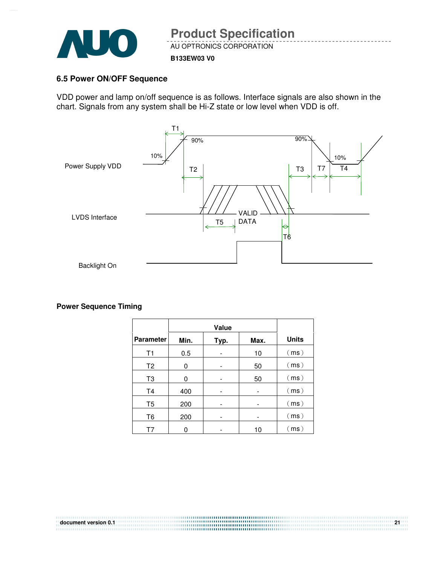

#### **B133EW03 V0**

### **6.5 Power ON/OFF Sequence**

VDD power and lamp on/off sequence is as follows. Interface signals are also shown in the chart. Signals from any system shall be Hi-Z state or low level when VDD is off.



**Power Sequence Timing** 

| <b>Parameter</b> | Min. | Typ. | Max. | <b>Units</b> |
|------------------|------|------|------|--------------|
| T1               | 0.5  |      | 10   | (ms)         |
| T <sub>2</sub>   | 0    |      | 50   | (ms)         |
| T <sub>3</sub>   | 0    |      | 50   | (ms)         |
| T <sub>4</sub>   | 400  |      |      | (ms)         |
| T <sub>5</sub>   | 200  |      |      | (ms)         |
| T <sub>6</sub>   | 200  |      |      | (ms)         |
| T7               |      |      | 10   | (ms)         |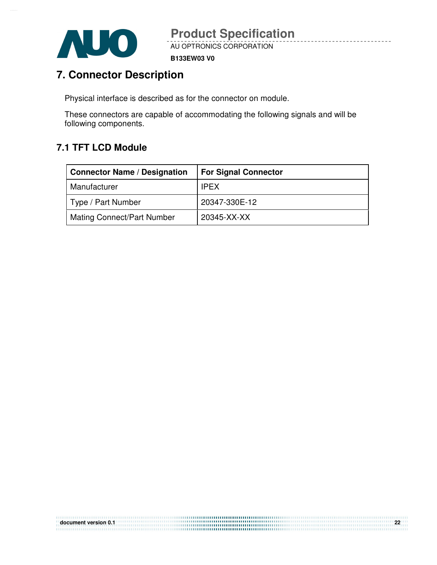

**B133EW03 V0**

# **7. Connector Description**

Physical interface is described as for the connector on module.

These connectors are capable of accommodating the following signals and will be following components.

# **7.1 TFT LCD Module**

| <b>Connector Name / Designation</b> | <b>For Signal Connector</b> |
|-------------------------------------|-----------------------------|
| Manufacturer                        | <b>IPEX</b>                 |
| Type / Part Number                  | 20347-330E-12               |
| Mating Connect/Part Number          | 20345-XX-XX                 |

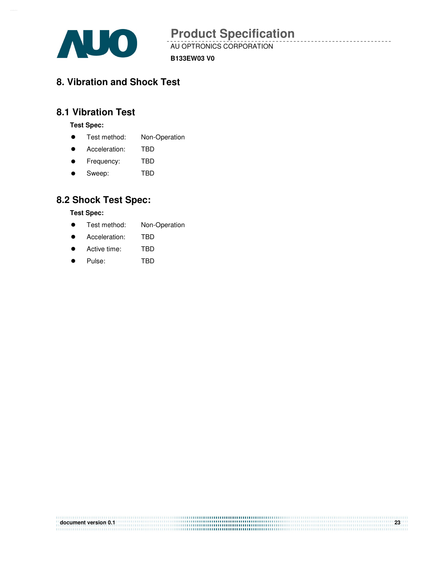

**document version 0.1 23**

AU OPTRONICS CORPORATION

**B133EW03 V0**

# **8. Vibration and Shock Test**

# **8.1 Vibration Test**

**Test Spec:** 

- **•** Test method: Non-Operation
- Acceleration: TBD
- **•** Frequency: TBD
- Sweep: TBD

### **8.2 Shock Test Spec:**

**Test Spec:** 

- **•** Test method: Non-Operation
- **Acceleration:** TBD
- Active time: TBD
- Pulse: TBD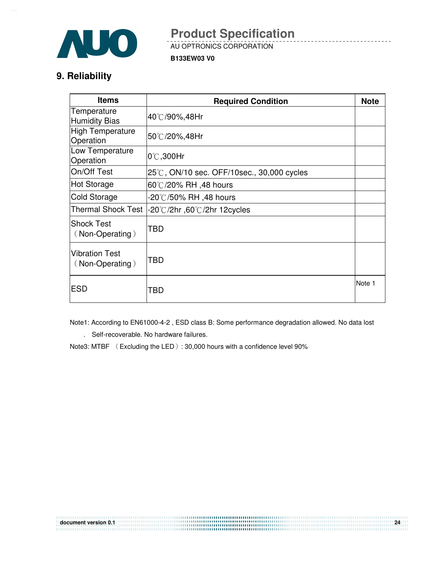

AU OPTRONICS CORPORATION

**B133EW03 V0**

# **9. Reliability**

| <b>Items</b>                             | <b>Required Condition</b>                      | <b>Note</b> |
|------------------------------------------|------------------------------------------------|-------------|
| Temperature<br>Humidity Bias             | 40℃/90%,48Hr                                   |             |
| High Temperature<br>Operation            | 50℃/20%,48Hr                                   |             |
| Low Temperature<br>Operation             | $0^{\circ}$ C,300Hr                            |             |
| On/Off Test                              | 25℃, ON/10 sec. OFF/10sec., 30,000 cycles      |             |
| Hot Storage                              | 60℃/20% RH ,48 hours                           |             |
| <b>Cold Storage</b>                      | -20℃/50% RH ,48 hours                          |             |
|                                          | Thermal Shock Test  -20℃/2hr, 60℃/2hr 12cycles |             |
| lShock Test<br>(Non-Operating)           | TBD                                            |             |
| <b>Vibration Test</b><br>(Non-Operating) | TBD                                            |             |
| <b>ESD</b>                               | TBD                                            | Note 1      |

Note1: According to EN61000-4-2 , ESD class B: Some performance degradation allowed. No data lost

. Self-recoverable. No hardware failures.

Note3: MTBF (Excluding the LED): 30,000 hours with a confidence level 90%

| document version 0.1 | 24 |
|----------------------|----|
|                      |    |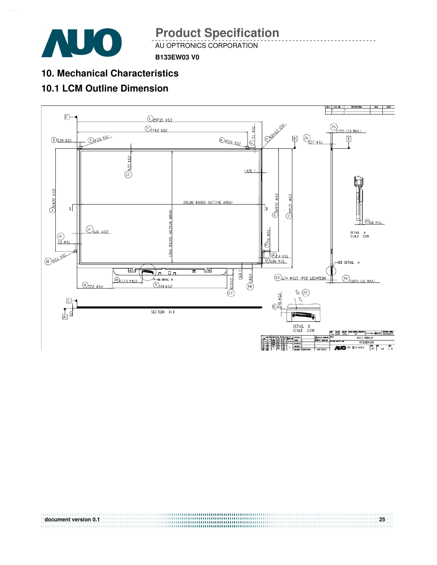

AU OPTRONICS CORPORATION

**B133EW03 V0**

# **10. Mechanical Characteristics**

# **10.1 LCM Outline Dimension**

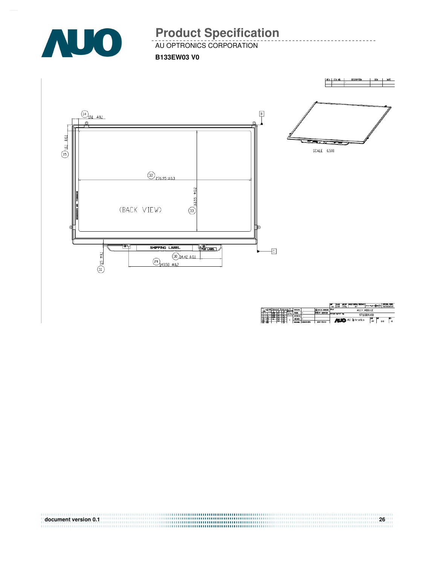

AU OPTRONICS CORPORATION

**B133EW03 V0**



| document version 0.1 | 26 |
|----------------------|----|
|                      |    |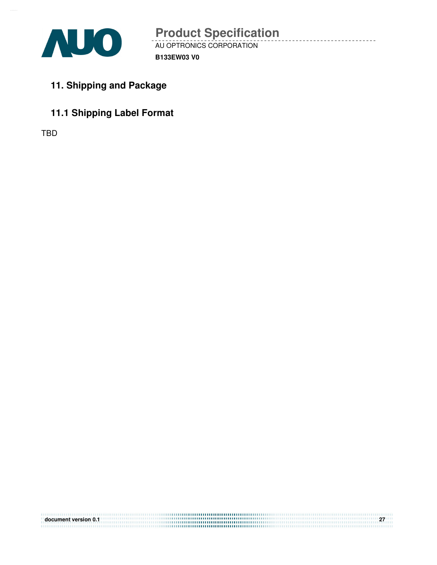

- **11. Shipping and Package**
- **11.1 Shipping Label Format**

TBD

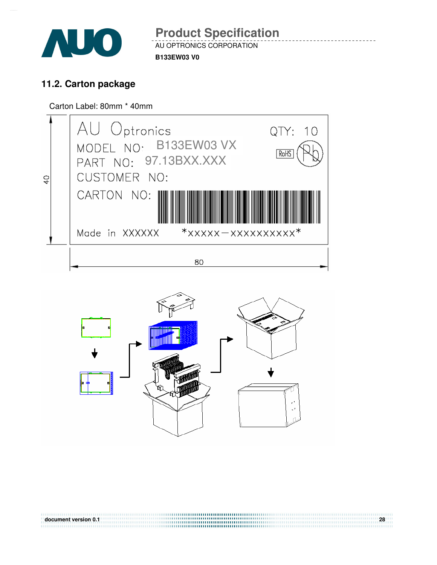

AU OPTRONICS CORPORATION **B133EW03 V0 Product Specification** 

# **11.2. Carton package**

Carton Label: 80mm \* 40mm